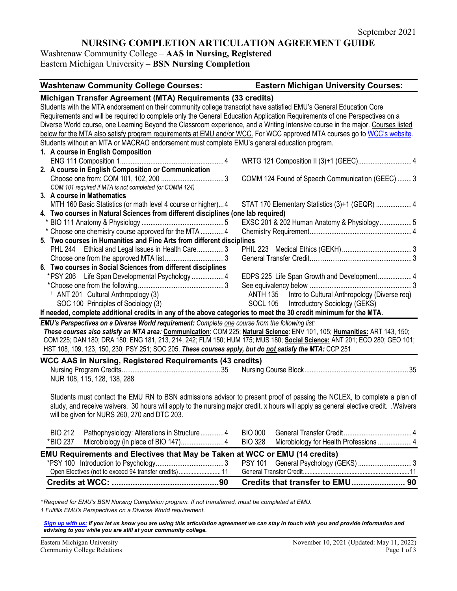# **NURSING COMPLETION ARTICULATION AGREEMENT GUIDE**

Washtenaw Community College – **AAS in Nursing, Registered** Eastern Michigan University – **BSN Nursing Completion** 

| <b>Washtenaw Community College Courses:</b>                                                                                     | <b>Eastern Michigan University Courses:</b>                                                                                           |  |
|---------------------------------------------------------------------------------------------------------------------------------|---------------------------------------------------------------------------------------------------------------------------------------|--|
| Michigan Transfer Agreement (MTA) Requirements (33 credits)                                                                     |                                                                                                                                       |  |
| Students with the MTA endorsement on their community college transcript have satisfied EMU's General Education Core             |                                                                                                                                       |  |
| Requirements and will be required to complete only the General Education Application Requirements of one Perspectives on a      |                                                                                                                                       |  |
| Diverse World course, one Learning Beyond the Classroom experience, and a Writing Intensive course in the major. Courses listed |                                                                                                                                       |  |
| below for the MTA also satisfy program requirements at EMU and/or WCC. For WCC approved MTA courses go to WCC's website.        |                                                                                                                                       |  |
| Students without an MTA or MACRAO endorsement must complete EMU's general education program.                                    |                                                                                                                                       |  |
| 1. A course in English Composition                                                                                              |                                                                                                                                       |  |
|                                                                                                                                 |                                                                                                                                       |  |
| 2. A course in English Composition or Communication                                                                             |                                                                                                                                       |  |
|                                                                                                                                 | COMM 124 Found of Speech Communication (GEEC)  3                                                                                      |  |
| COM 101 required if MTA is not completed (or COMM 124)                                                                          |                                                                                                                                       |  |
| 3. A course in Mathematics                                                                                                      |                                                                                                                                       |  |
| MTH 160 Basic Statistics (or math level 4 course or higher) 4                                                                   | STAT 170 Elementary Statistics (3)+1 (GEQR)  4                                                                                        |  |
| 4. Two courses in Natural Sciences from different disciplines (one lab required)                                                |                                                                                                                                       |  |
|                                                                                                                                 | EXSC 201 & 202 Human Anatomy & Physiology 5                                                                                           |  |
| * Choose one chemistry course approved for the MTA  4                                                                           |                                                                                                                                       |  |
| 5. Two courses in Humanities and Fine Arts from different disciplines                                                           |                                                                                                                                       |  |
| PHL 244 Ethical and Legal Issues in Health Care3                                                                                |                                                                                                                                       |  |
|                                                                                                                                 |                                                                                                                                       |  |
| 6. Two courses in Social Sciences from different disciplines                                                                    |                                                                                                                                       |  |
| *PSY 206 Life Span Developmental Psychology 4                                                                                   | EDPS 225 Life Span Growth and Development 4                                                                                           |  |
|                                                                                                                                 |                                                                                                                                       |  |
| <sup>1</sup> ANT 201 Cultural Anthropology (3)                                                                                  | ANTH 135 Intro to Cultural Anthropology (Diverse req)                                                                                 |  |
| SOC 100 Principles of Sociology (3)                                                                                             | SOCL 105 Introductory Sociology (GEKS)                                                                                                |  |
| If needed, complete additional credits in any of the above categories to meet the 30 credit minimum for the MTA.                |                                                                                                                                       |  |
| EMU's Perspectives on a Diverse World requirement: Complete one course from the following list:                                 |                                                                                                                                       |  |
| These courses also satisfy an MTA area: Communication: COM 225; Natural Science: ENV 101, 105; Humanities: ART 143, 150;        |                                                                                                                                       |  |
| COM 225; DAN 180; DRA 180; ENG 181, 213, 214, 242; FLM 150; HUM 175; MUS 180; Social Science: ANT 201; ECO 280; GEO 101;        |                                                                                                                                       |  |
| HST 108, 109, 123, 150, 230; PSY 251; SOC 205. These courses apply, but do not satisfy the MTA: CCP 251                         |                                                                                                                                       |  |
| <b>WCC AAS in Nursing, Registered Requirements (43 credits)</b>                                                                 |                                                                                                                                       |  |
|                                                                                                                                 |                                                                                                                                       |  |
| NUR 108, 115, 128, 138, 288                                                                                                     |                                                                                                                                       |  |
|                                                                                                                                 |                                                                                                                                       |  |
|                                                                                                                                 | Students must contact the EMU RN to BSN admissions advisor to present proof of passing the NCLEX, to complete a plan of               |  |
|                                                                                                                                 | study, and receive waivers. 30 hours will apply to the nursing major credit. x hours will apply as general elective credit. . Waivers |  |
| will be given for NURS 260, 270 and DTC 203.                                                                                    |                                                                                                                                       |  |
|                                                                                                                                 |                                                                                                                                       |  |
| <b>BIO 212</b><br>Pathophysiology: Alterations in Structure  4                                                                  | <b>BIO 000</b>                                                                                                                        |  |
| *BIO 237                                                                                                                        | Microbiology for Health Professions  4<br><b>BIO 328</b>                                                                              |  |
| <b>EMU Requirements and Electives that May be Taken at WCC or EMU (14 credits)</b>                                              |                                                                                                                                       |  |
|                                                                                                                                 | General Psychology (GEKS)  3<br><b>PSY 101</b>                                                                                        |  |
| Open Electives (not to exceed 94 transfer credits)  11                                                                          |                                                                                                                                       |  |
|                                                                                                                                 | Credits that transfer to EMU 90                                                                                                       |  |
|                                                                                                                                 |                                                                                                                                       |  |

*\* Required for EMU's BSN Nursing Completion program. If not transferred, must be completed at EMU.* 

*1 Fulfills EMU's Perspectives on a Diverse World requirement.* 

*[Sign up with us:](https://www.emich.edu/ccr/articulation-agreements/signup.php) If you let us know you are using this articulation agreement we can stay in touch with you and provide information and advising to you while you are still at your community college.*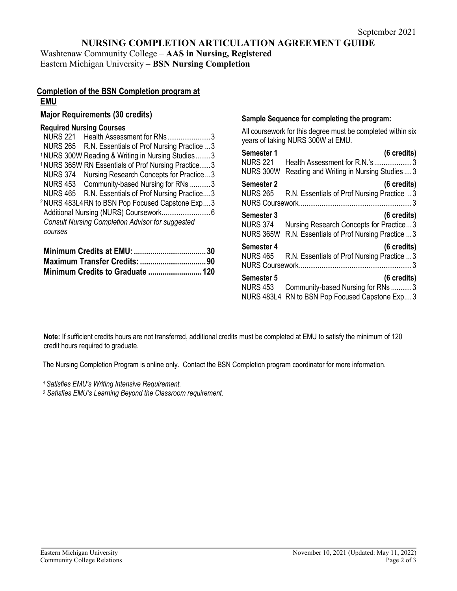# **NURSING COMPLETION ARTICULATION AGREEMENT GUIDE**

Washtenaw Community College – **AAS in Nursing, Registered** Eastern Michigan University – **BSN Nursing Completion** 

# **Completion of the BSN Completion program at EMU**

# **Major Requirements (30 credits)**

# **Required Nursing Courses**

| <b>NURS 221</b><br>Health Assessment for RNs3                  |  |
|----------------------------------------------------------------|--|
| NURS 265 R.N. Essentials of Prof Nursing Practice  3           |  |
| <sup>1</sup> NURS 300W Reading & Writing in Nursing Studies3   |  |
| <sup>1</sup> NURS 365W RN Essentials of Prof Nursing Practice3 |  |
| <b>NURS 374</b><br>Nursing Research Concepts for Practice3     |  |
| NURS 453 Community-based Nursing for RNs 3                     |  |
| NURS 465 R.N. Essentials of Prof Nursing Practice3             |  |
| <sup>2</sup> NURS 483L4 RN to BSN Pop Focused Capstone Exp3    |  |
|                                                                |  |
| <b>Consult Nursing Completion Advisor for suggested</b>        |  |
| courses                                                        |  |
|                                                                |  |

# **Sample Sequence for completing the program:**

All coursework for this degree must be completed within six years of taking NURS 300W at EMU.

| Semester 1                                         | (6 credits)                                                                                                     |
|----------------------------------------------------|-----------------------------------------------------------------------------------------------------------------|
| <b>NURS 221</b>                                    | Health Assessment for R.N.'s3                                                                                   |
| <b>NURS 300W</b>                                   | Reading and Writing in Nursing Studies  3                                                                       |
| Semester 2<br><b>NURS 265</b>                      | (6 credits)<br>R.N. Essentials of Prof Nursing Practice 3                                                       |
| Semester 3<br><b>NURS 374</b><br><b>NURS 365W</b>  | $(6 \text{ credits})$<br>Nursing Research Concepts for Practice3<br>R.N. Essentials of Prof Nursing Practice  3 |
| Semester 4<br><b>NURS 465</b>                      | (6 credits)<br>R.N. Essentials of Prof Nursing Practice  3                                                      |
| Semester 5<br><b>NURS 453</b><br><b>NURS 483L4</b> | (6 credits)<br>Community-based Nursing for RNs 3<br>RN to BSN Pop Focused Capstone Exp3                         |

**Note:** If sufficient credits hours are not transferred, additional credits must be completed at EMU to satisfy the minimum of 120 credit hours required to graduate.

The Nursing Completion Program is online only. Contact the BSN Completion program coordinator for more information.

*1 Satisfies EMU's Writing Intensive Requirement.*

*<sup>2</sup> Satisfies EMU's Learning Beyond the Classroom requirement.*